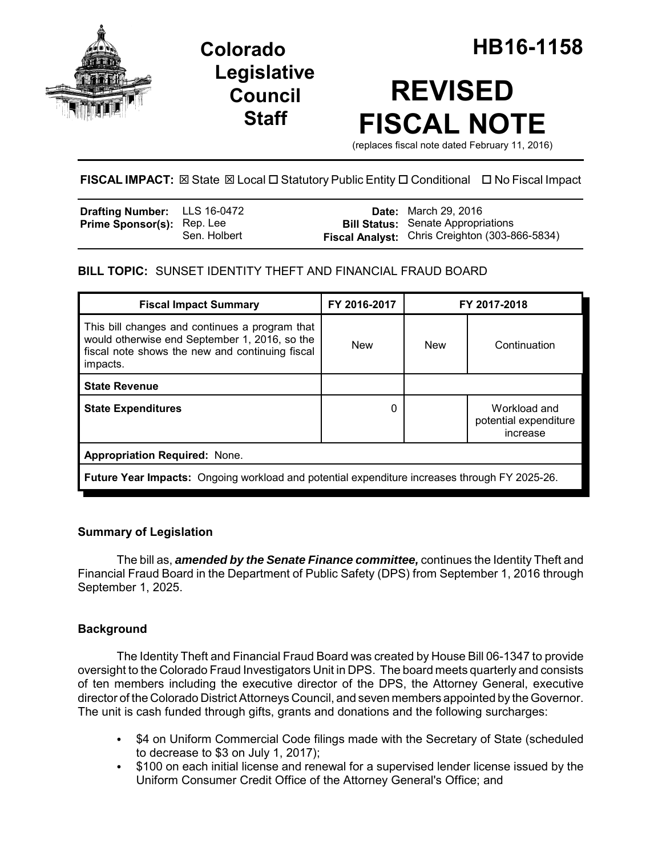

# **Legislative Council Staff**

# **REVISED FISCAL NOTE**

(replaces fiscal note dated February 11, 2016)

# **FISCAL IMPACT:** ⊠ State ⊠ Local □ Statutory Public Entity □ Conditional □ No Fiscal Impact

| <b>Drafting Number:</b> LLS 16-0472 |              | <b>Date:</b> March 29, 2016                           |
|-------------------------------------|--------------|-------------------------------------------------------|
| <b>Prime Sponsor(s): Rep. Lee</b>   |              | <b>Bill Status:</b> Senate Appropriations             |
|                                     | Sen. Holbert | <b>Fiscal Analyst:</b> Chris Creighton (303-866-5834) |

# **BILL TOPIC:** SUNSET IDENTITY THEFT AND FINANCIAL FRAUD BOARD

| <b>Fiscal Impact Summary</b>                                                                                                                                   | FY 2016-2017 | FY 2017-2018 |                                                   |  |  |
|----------------------------------------------------------------------------------------------------------------------------------------------------------------|--------------|--------------|---------------------------------------------------|--|--|
| This bill changes and continues a program that<br>would otherwise end September 1, 2016, so the<br>fiscal note shows the new and continuing fiscal<br>impacts. | <b>New</b>   | <b>New</b>   | Continuation                                      |  |  |
| <b>State Revenue</b>                                                                                                                                           |              |              |                                                   |  |  |
| <b>State Expenditures</b>                                                                                                                                      | 0            |              | Workload and<br>potential expenditure<br>increase |  |  |
| <b>Appropriation Required: None.</b>                                                                                                                           |              |              |                                                   |  |  |
| Future Year Impacts: Ongoing workload and potential expenditure increases through FY 2025-26.                                                                  |              |              |                                                   |  |  |

## **Summary of Legislation**

The bill as, *amended by the Senate Finance committee,* continues the Identity Theft and Financial Fraud Board in the Department of Public Safety (DPS) from September 1, 2016 through September 1, 2025.

## **Background**

The Identity Theft and Financial Fraud Board was created by House Bill 06-1347 to provide oversight to the Colorado Fraud Investigators Unit in DPS. The board meets quarterly and consists of ten members including the executive director of the DPS, the Attorney General, executive director of the Colorado District Attorneys Council, and seven members appointed by the Governor. The unit is cash funded through gifts, grants and donations and the following surcharges:

- \$4 on Uniform Commercial Code filings made with the Secretary of State (scheduled to decrease to \$3 on July 1, 2017);
- \$100 on each initial license and renewal for a supervised lender license issued by the Uniform Consumer Credit Office of the Attorney General's Office; and